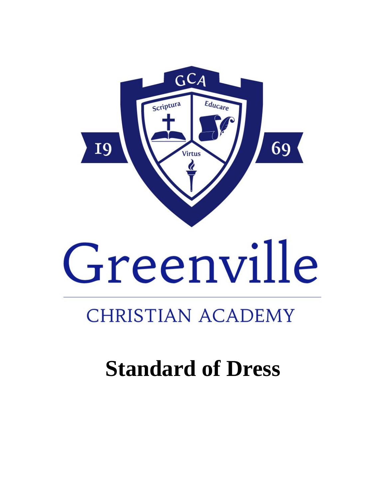

# Greenville

### **CHRISTIAN ACADEMY**

## **Standard of Dress**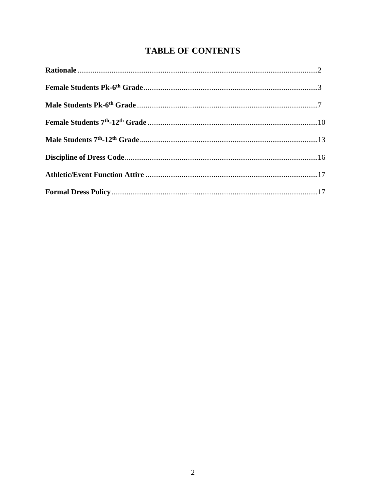#### **TABLE OF CONTENTS**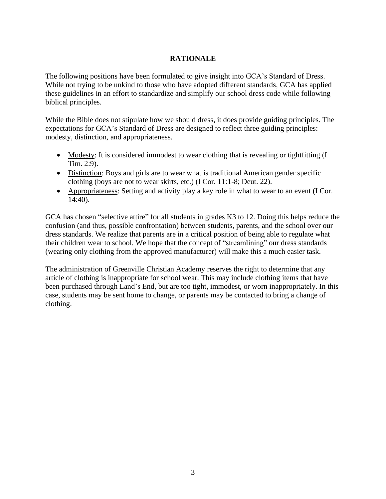#### **RATIONALE**

The following positions have been formulated to give insight into GCA's Standard of Dress. While not trying to be unkind to those who have adopted different standards, GCA has applied these guidelines in an effort to standardize and simplify our school dress code while following biblical principles.

While the Bible does not stipulate how we should dress, it does provide guiding principles. The expectations for GCA's Standard of Dress are designed to reflect three guiding principles: modesty, distinction, and appropriateness.

- Modesty: It is considered immodest to wear clothing that is revealing or tightfitting (I Tim. 2:9).
- Distinction: Boys and girls are to wear what is traditional American gender specific clothing (boys are not to wear skirts, etc.) (I Cor. 11:1-8; Deut. 22).
- Appropriateness: Setting and activity play a key role in what to wear to an event (I Cor. 14:40).

GCA has chosen "selective attire" for all students in grades K3 to 12. Doing this helps reduce the confusion (and thus, possible confrontation) between students, parents, and the school over our dress standards. We realize that parents are in a critical position of being able to regulate what their children wear to school. We hope that the concept of "streamlining" our dress standards (wearing only clothing from the approved manufacturer) will make this a much easier task.

The administration of Greenville Christian Academy reserves the right to determine that any article of clothing is inappropriate for school wear. This may include clothing items that have been purchased through Land's End, but are too tight, immodest, or worn inappropriately. In this case, students may be sent home to change, or parents may be contacted to bring a change of clothing.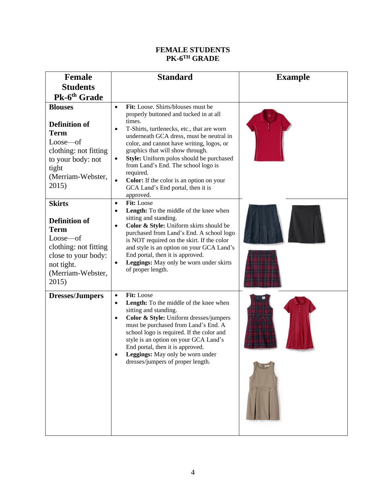#### **FEMALE STUDENTS PK-6 TH GRADE**

| <b>Female</b>                                                                                                                                                | <b>Standard</b>                                                                                                                                                                                                                                                                                                                                                                                                                                                                                                            | <b>Example</b> |
|--------------------------------------------------------------------------------------------------------------------------------------------------------------|----------------------------------------------------------------------------------------------------------------------------------------------------------------------------------------------------------------------------------------------------------------------------------------------------------------------------------------------------------------------------------------------------------------------------------------------------------------------------------------------------------------------------|----------------|
| <b>Students</b>                                                                                                                                              |                                                                                                                                                                                                                                                                                                                                                                                                                                                                                                                            |                |
| Pk-6 <sup>th</sup> Grade                                                                                                                                     |                                                                                                                                                                                                                                                                                                                                                                                                                                                                                                                            |                |
| <b>Blouses</b><br><b>Definition of</b><br><b>Term</b><br>Loose—of<br>clothing: not fitting<br>to your body: not<br>tight<br>(Merriam-Webster,<br>2015)       | Fit: Loose. Shirts/blouses must be<br>$\bullet$<br>properly buttoned and tucked in at all<br>times.<br>T-Shirts, turtlenecks, etc., that are worn<br>$\bullet$<br>underneath GCA dress, must be neutral in<br>color, and cannot have writing, logos, or<br>graphics that will show through.<br>Style: Uniform polos should be purchased<br>$\bullet$<br>from Land's End. The school logo is<br>required.<br><b>Color:</b> If the color is an option on your<br>$\bullet$<br>GCA Land's End portal, then it is<br>approved. |                |
| <b>Skirts</b><br><b>Definition of</b><br><b>Term</b><br>Loose—of<br>clothing: not fitting<br>close to your body:<br>not tight.<br>(Merriam-Webster,<br>2015) | Fit: Loose<br>$\bullet$<br>Length: To the middle of the knee when<br>$\bullet$<br>sitting and standing.<br>Color & Style: Uniform skirts should be<br>$\bullet$<br>purchased from Land's End. A school logo<br>is NOT required on the skirt. If the color<br>and style is an option on your GCA Land's<br>End portal, then it is approved.<br>Leggings: May only be worn under skirts<br>$\bullet$<br>of proper length.                                                                                                    |                |
| <b>Dresses/Jumpers</b>                                                                                                                                       | Fit: Loose<br>$\bullet$<br>Length: To the middle of the knee when<br>$\bullet$<br>sitting and standing.<br>Color & Style: Uniform dresses/jumpers<br>$\bullet$<br>must be purchased from Land's End. A<br>school logo is required. If the color and<br>style is an option on your GCA Land's<br>End portal, then it is approved.<br>Leggings: May only be worn under<br>dresses/jumpers of proper length.                                                                                                                  |                |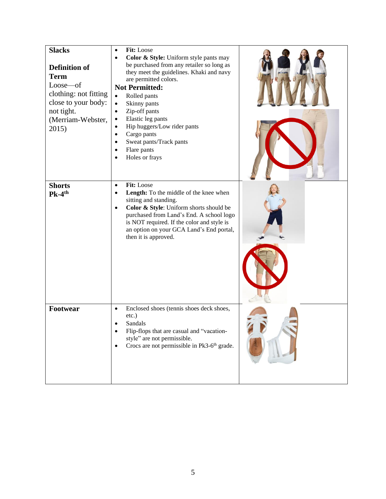| <b>Slacks</b><br><b>Definition of</b><br><b>Term</b><br>Loose-of<br>clothing: not fitting<br>close to your body:<br>not tight.<br>(Merriam-Webster,<br>2015) | Fit: Loose<br>$\bullet$<br>Color & Style: Uniform style pants may<br>$\bullet$<br>be purchased from any retailer so long as<br>they meet the guidelines. Khaki and navy<br>are permitted colors.<br><b>Not Permitted:</b><br>Rolled pants<br>$\bullet$<br>Skinny pants<br>$\bullet$<br>Zip-off pants<br>$\bullet$<br>Elastic leg pants<br>$\bullet$<br>Hip huggers/Low rider pants<br>$\bullet$<br>Cargo pants<br>$\bullet$<br>Sweat pants/Track pants<br>$\bullet$<br>Flare pants<br>$\bullet$<br>Holes or frays<br>$\bullet$ |
|--------------------------------------------------------------------------------------------------------------------------------------------------------------|--------------------------------------------------------------------------------------------------------------------------------------------------------------------------------------------------------------------------------------------------------------------------------------------------------------------------------------------------------------------------------------------------------------------------------------------------------------------------------------------------------------------------------|
| <b>Shorts</b><br>$Pk-4$ <sup>th</sup>                                                                                                                        | Fit: Loose<br>$\bullet$<br>Length: To the middle of the knee when<br>$\bullet$<br>sitting and standing.<br>Color & Style: Uniform shorts should be<br>$\bullet$<br>purchased from Land's End. A school logo<br>is NOT required. If the color and style is<br>an option on your GCA Land's End portal,<br>then it is approved.                                                                                                                                                                                                  |
| Footwear                                                                                                                                                     | Enclosed shoes (tennis shoes deck shoes,<br>$\bullet$<br>$etc.$ )<br>Sandals<br>Flip-flops that are casual and "vacation-<br>style" are not permissible.<br>Crocs are not permissible in Pk3-6 <sup>th</sup> grade.<br>$\bullet$                                                                                                                                                                                                                                                                                               |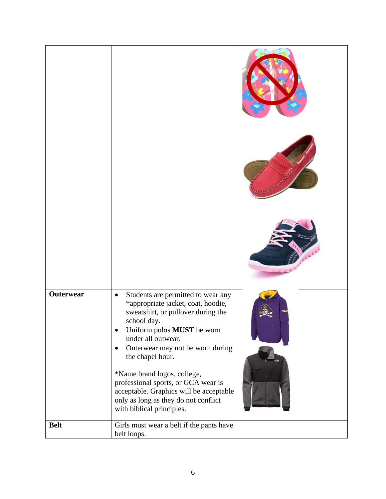| <b>Outerwear</b> | Students are permitted to wear any<br>$\bullet$<br>*appropriate jacket, coat, hoodie,<br>sweatshirt, or pullover during the<br>school day.<br>Uniform polos MUST be worn<br>$\bullet$<br>under all outwear.<br>Outerwear may not be worn during<br>the chapel hour.<br>*Name brand logos, college,<br>professional sports, or GCA wear is<br>acceptable. Graphics will be acceptable<br>only as long as they do not conflict<br>with biblical principles. |  |
|------------------|-----------------------------------------------------------------------------------------------------------------------------------------------------------------------------------------------------------------------------------------------------------------------------------------------------------------------------------------------------------------------------------------------------------------------------------------------------------|--|
| <b>Belt</b>      | Girls must wear a belt if the pants have<br>belt loops.                                                                                                                                                                                                                                                                                                                                                                                                   |  |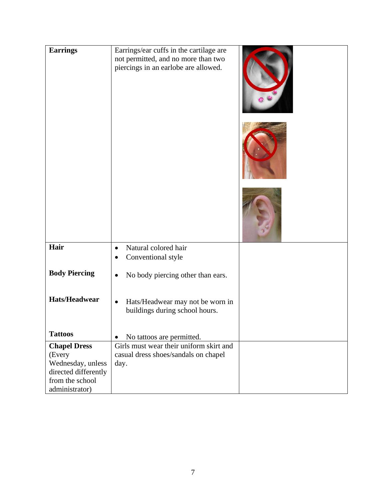| <b>Earrings</b>                         | Earrings/ear cuffs in the cartilage are<br>not permitted, and no more than two<br>piercings in an earlobe are allowed. |  |
|-----------------------------------------|------------------------------------------------------------------------------------------------------------------------|--|
| Hair                                    | Natural colored hair<br>$\bullet$<br>Conventional style                                                                |  |
|                                         |                                                                                                                        |  |
| <b>Body Piercing</b>                    | No body piercing other than ears.                                                                                      |  |
| <b>Hats/Headwear</b>                    | Hats/Headwear may not be worn in<br>$\bullet$<br>buildings during school hours.                                        |  |
| <b>Tattoos</b>                          | No tattoos are permitted.<br>$\bullet$                                                                                 |  |
| <b>Chapel Dress</b>                     | Girls must wear their uniform skirt and                                                                                |  |
| (Every                                  | casual dress shoes/sandals on chapel                                                                                   |  |
| Wednesday, unless                       | day.                                                                                                                   |  |
| directed differently<br>from the school |                                                                                                                        |  |
| administrator)                          |                                                                                                                        |  |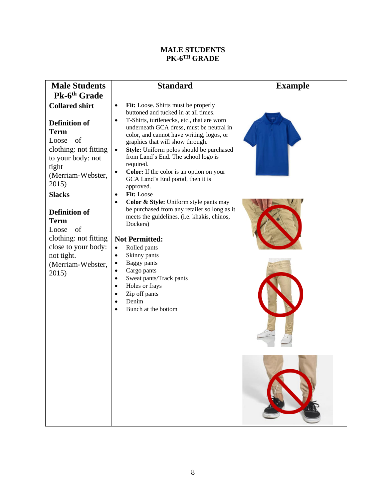#### **MALE STUDENTS PK-6 TH GRADE**

| <b>Male Students</b>                                                                                                                                          | <b>Standard</b>                                                                                                                                                                                                                                                                                                                                                                                                                                                                                          | <b>Example</b> |
|---------------------------------------------------------------------------------------------------------------------------------------------------------------|----------------------------------------------------------------------------------------------------------------------------------------------------------------------------------------------------------------------------------------------------------------------------------------------------------------------------------------------------------------------------------------------------------------------------------------------------------------------------------------------------------|----------------|
| Pk-6 <sup>th</sup> Grade                                                                                                                                      |                                                                                                                                                                                                                                                                                                                                                                                                                                                                                                          |                |
| <b>Collared shirt</b><br><b>Definition of</b><br><b>Term</b><br>Loose—of<br>clothing: not fitting<br>to your body: not<br>tight<br>(Merriam-Webster,<br>2015) | Fit: Loose. Shirts must be properly<br>$\bullet$<br>buttoned and tucked in at all times.<br>T-Shirts, turtlenecks, etc., that are worn<br>$\bullet$<br>underneath GCA dress, must be neutral in<br>color, and cannot have writing, logos, or<br>graphics that will show through.<br>Style: Uniform polos should be purchased<br>$\bullet$<br>from Land's End. The school logo is<br>required.<br>Color: If the color is an option on your<br>$\bullet$<br>GCA Land's End portal, then it is<br>approved. |                |
| <b>Slacks</b><br><b>Definition of</b><br><b>Term</b><br>Loose—of<br>clothing: not fitting<br>close to your body:<br>not tight.<br>(Merriam-Webster,<br>2015)  | Fit: Loose<br>$\bullet$<br>Color & Style: Uniform style pants may<br>$\bullet$<br>be purchased from any retailer so long as it<br>meets the guidelines. (i.e. khakis, chinos,<br>Dockers)<br><b>Not Permitted:</b><br>Rolled pants<br>$\bullet$<br>Skinny pants<br>$\bullet$<br><b>Baggy</b> pants<br>$\bullet$<br>Cargo pants<br>$\bullet$<br>Sweat pants/Track pants<br>$\bullet$<br>Holes or frays<br>$\bullet$<br>Zip off pants<br>$\bullet$<br>Denim<br>$\bullet$<br>Bunch at the bottom            |                |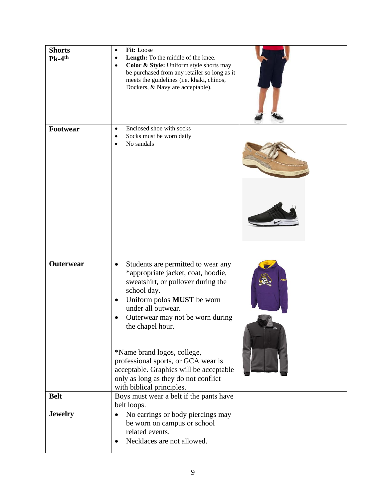| <b>Shorts</b><br>$Pk-4$ <sup>th</sup> | Fit: Loose<br>$\bullet$<br>Length: To the middle of the knee.<br>$\bullet$<br>Color & Style: Uniform style shorts may<br>$\bullet$<br>be purchased from any retailer so long as it<br>meets the guidelines (i.e. khaki, chinos,<br>Dockers, & Navy are acceptable).                                                                                                                  |  |
|---------------------------------------|--------------------------------------------------------------------------------------------------------------------------------------------------------------------------------------------------------------------------------------------------------------------------------------------------------------------------------------------------------------------------------------|--|
| <b>Footwear</b>                       | Enclosed shoe with socks<br>$\bullet$<br>Socks must be worn daily<br>$\bullet$<br>No sandals<br>$\bullet$                                                                                                                                                                                                                                                                            |  |
| <b>Outerwear</b>                      | Students are permitted to wear any<br>$\bullet$<br>*appropriate jacket, coat, hoodie,<br>sweatshirt, or pullover during the<br>school day.<br>Uniform polos MUST be worn<br>$\bullet$<br>under all outwear.<br>Outerwear may not be worn during<br>the chapel hour.<br>*Name brand logos, college,<br>professional sports, or GCA wear is<br>acceptable. Graphics will be acceptable |  |
|                                       | only as long as they do not conflict<br>with biblical principles.                                                                                                                                                                                                                                                                                                                    |  |
| <b>Belt</b>                           | Boys must wear a belt if the pants have<br>belt loops.                                                                                                                                                                                                                                                                                                                               |  |
| <b>Jewelry</b>                        | No earrings or body piercings may<br>be worn on campus or school<br>related events.<br>Necklaces are not allowed.                                                                                                                                                                                                                                                                    |  |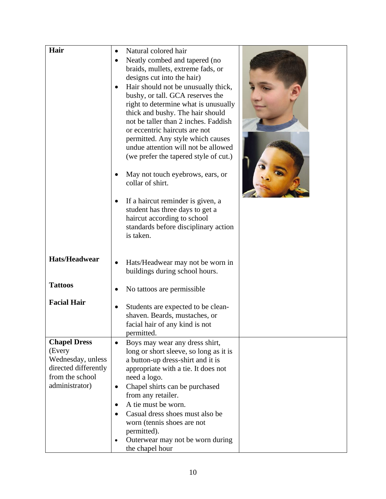| Hair                                                                                                            | Natural colored hair<br>$\bullet$<br>Neatly combed and tapered (no<br>braids, mullets, extreme fads, or<br>designs cut into the hair)<br>Hair should not be unusually thick,<br>bushy, or tall. GCA reserves the<br>right to determine what is unusually<br>thick and bushy. The hair should<br>not be taller than 2 inches. Faddish<br>or eccentric haircuts are not<br>permitted. Any style which causes<br>undue attention will not be allowed<br>(we prefer the tapered style of cut.)<br>May not touch eyebrows, ears, or<br>collar of shirt.<br>If a haircut reminder is given, a<br>$\bullet$<br>student has three days to get a<br>haircut according to school<br>standards before disciplinary action |  |
|-----------------------------------------------------------------------------------------------------------------|----------------------------------------------------------------------------------------------------------------------------------------------------------------------------------------------------------------------------------------------------------------------------------------------------------------------------------------------------------------------------------------------------------------------------------------------------------------------------------------------------------------------------------------------------------------------------------------------------------------------------------------------------------------------------------------------------------------|--|
| <b>Hats/Headwear</b>                                                                                            | is taken.<br>Hats/Headwear may not be worn in<br>buildings during school hours.                                                                                                                                                                                                                                                                                                                                                                                                                                                                                                                                                                                                                                |  |
| <b>Tattoos</b>                                                                                                  | No tattoos are permissible                                                                                                                                                                                                                                                                                                                                                                                                                                                                                                                                                                                                                                                                                     |  |
| <b>Facial Hair</b>                                                                                              | Students are expected to be clean-<br>shaven. Beards, mustaches, or<br>facial hair of any kind is not<br>permitted.                                                                                                                                                                                                                                                                                                                                                                                                                                                                                                                                                                                            |  |
| <b>Chapel Dress</b><br>(Every<br>Wednesday, unless<br>directed differently<br>from the school<br>administrator) | Boys may wear any dress shirt,<br>$\bullet$<br>long or short sleeve, so long as it is<br>a button-up dress-shirt and it is<br>appropriate with a tie. It does not<br>need a logo.<br>Chapel shirts can be purchased<br>$\bullet$<br>from any retailer.<br>A tie must be worn.<br>$\bullet$<br>Casual dress shoes must also be<br>worn (tennis shoes are not<br>permitted).<br>Outerwear may not be worn during<br>$\bullet$<br>the chapel hour                                                                                                                                                                                                                                                                 |  |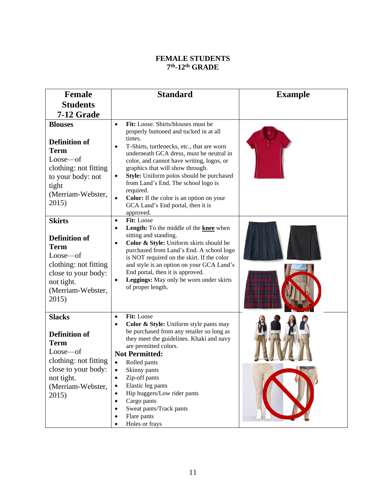#### **FEMALE STUDENTS 7 th -12th GRADE**

| <b>Female</b>                                                                                                                                                | <b>Standard</b>                                                                                                                                                                                                                                                                                                                                                                                                                                                                                                            | <b>Example</b> |
|--------------------------------------------------------------------------------------------------------------------------------------------------------------|----------------------------------------------------------------------------------------------------------------------------------------------------------------------------------------------------------------------------------------------------------------------------------------------------------------------------------------------------------------------------------------------------------------------------------------------------------------------------------------------------------------------------|----------------|
| <b>Students</b>                                                                                                                                              |                                                                                                                                                                                                                                                                                                                                                                                                                                                                                                                            |                |
| 7-12 Grade                                                                                                                                                   |                                                                                                                                                                                                                                                                                                                                                                                                                                                                                                                            |                |
| <b>Blouses</b><br><b>Definition of</b><br><b>Term</b><br>Loose—of<br>clothing: not fitting<br>to your body: not<br>tight<br>(Merriam-Webster,<br>2015)       | Fit: Loose. Shirts/blouses must be<br>$\bullet$<br>properly buttoned and tucked in at all<br>times.<br>T-Shirts, turtlenecks, etc., that are worn<br>$\bullet$<br>underneath GCA dress, must be neutral in<br>color, and cannot have writing, logos, or<br>graphics that will show through.<br>Style: Uniform polos should be purchased<br>$\bullet$<br>from Land's End. The school logo is<br>required.<br><b>Color:</b> If the color is an option on your<br>$\bullet$<br>GCA Land's End portal, then it is<br>approved. |                |
| <b>Skirts</b><br><b>Definition of</b><br><b>Term</b><br>Loose—of<br>clothing: not fitting<br>close to your body:<br>not tight.<br>(Merriam-Webster,<br>2015) | Fit: Loose<br>$\bullet$<br>Length: To the middle of the knee when<br>$\bullet$<br>sitting and standing.<br>Color & Style: Uniform skirts should be<br>$\bullet$<br>purchased from Land's End. A school logo<br>is NOT required on the skirt. If the color<br>and style is an option on your GCA Land's<br>End portal, then it is approved.<br>Leggings: May only be worn under skirts<br>of proper length.                                                                                                                 |                |
| <b>Slacks</b><br><b>Definition of</b><br><b>Term</b><br>Loose—of<br>clothing: not fitting<br>close to your body:<br>not tight.<br>(Merriam-Webster,<br>2015) | Fit: Loose<br>$\bullet$<br>Color & Style: Uniform style pants may<br>$\bullet$<br>be purchased from any retailer so long as<br>they meet the guidelines. Khaki and navy<br>are permitted colors.<br><b>Not Permitted:</b><br>Rolled pants<br>$\bullet$<br>Skinny pants<br>Zip-off pants<br>$\bullet$<br>Elastic leg pants<br>Hip huggers/Low rider pants<br>$\bullet$<br>Cargo pants<br>$\bullet$<br>Sweat pants/Track pants<br>$\bullet$<br>Flare pants<br>Holes or frays                                                 |                |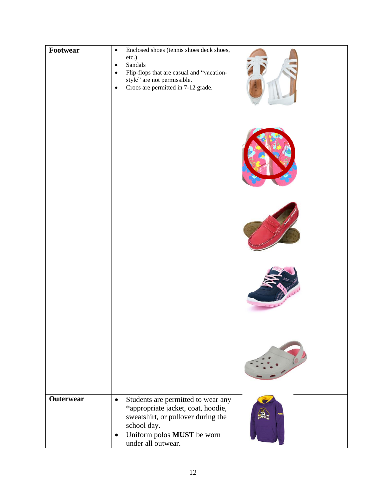| Footwear         | Enclosed shoes (tennis shoes deck shoes,<br>$\bullet$<br>etc.)<br>Sandals<br>$\bullet$<br>Flip-flops that are casual and "vacation-<br>$\bullet$<br>style" are not permissible.<br>Crocs are permitted in 7-12 grade.<br>$\bullet$ |  |
|------------------|------------------------------------------------------------------------------------------------------------------------------------------------------------------------------------------------------------------------------------|--|
| <b>Outerwear</b> | Students are permitted to wear any<br>$\bullet$<br>*appropriate jacket, coat, hoodie,<br>sweatshirt, or pullover during the<br>school day.<br>Uniform polos MUST be worn<br>$\bullet$<br>under all outwear.                        |  |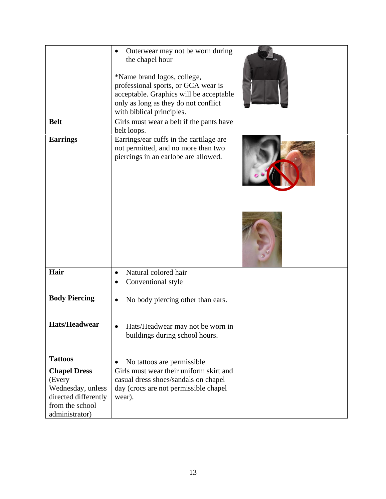| <b>Belt</b>                             | Outerwear may not be worn during<br>the chapel hour<br>*Name brand logos, college,<br>professional sports, or GCA wear is<br>acceptable. Graphics will be acceptable<br>only as long as they do not conflict<br>with biblical principles.<br>Girls must wear a belt if the pants have |  |
|-----------------------------------------|---------------------------------------------------------------------------------------------------------------------------------------------------------------------------------------------------------------------------------------------------------------------------------------|--|
| <b>Earrings</b>                         | belt loops.<br>Earrings/ear cuffs in the cartilage are<br>not permitted, and no more than two<br>piercings in an earlobe are allowed.                                                                                                                                                 |  |
|                                         |                                                                                                                                                                                                                                                                                       |  |
| Hair                                    | Natural colored hair<br>$\bullet$<br>Conventional style                                                                                                                                                                                                                               |  |
| <b>Body Piercing</b>                    | No body piercing other than ears.                                                                                                                                                                                                                                                     |  |
| Hats/Headwear                           | Hats/Headwear may not be worn in<br>buildings during school hours.                                                                                                                                                                                                                    |  |
| <b>Tattoos</b>                          | No tattoos are permissible.                                                                                                                                                                                                                                                           |  |
| <b>Chapel Dress</b>                     | Girls must wear their uniform skirt and                                                                                                                                                                                                                                               |  |
| (Every                                  | casual dress shoes/sandals on chapel                                                                                                                                                                                                                                                  |  |
| Wednesday, unless                       | day (crocs are not permissible chapel                                                                                                                                                                                                                                                 |  |
| directed differently<br>from the school | wear).                                                                                                                                                                                                                                                                                |  |
| administrator)                          |                                                                                                                                                                                                                                                                                       |  |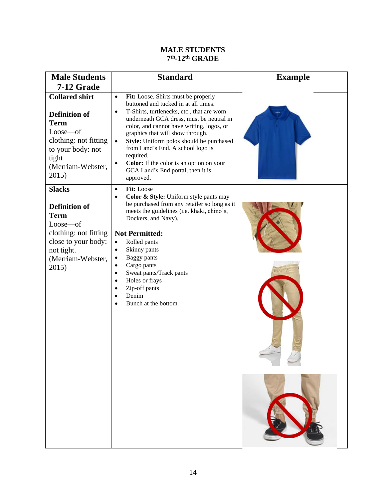#### **MALE STUDENTS 7 th -12th GRADE**

| <b>Male Students</b><br>7-12 Grade                                                                                                                            | <b>Standard</b>                                                                                                                                                                                                                                                                                                                                                                                                                                                                                        | <b>Example</b> |
|---------------------------------------------------------------------------------------------------------------------------------------------------------------|--------------------------------------------------------------------------------------------------------------------------------------------------------------------------------------------------------------------------------------------------------------------------------------------------------------------------------------------------------------------------------------------------------------------------------------------------------------------------------------------------------|----------------|
| <b>Collared shirt</b><br><b>Definition of</b><br><b>Term</b><br>Loose—of<br>clothing: not fitting<br>to your body: not<br>tight<br>(Merriam-Webster,<br>2015) | Fit: Loose. Shirts must be properly<br>$\bullet$<br>buttoned and tucked in at all times.<br>T-Shirts, turtlenecks, etc., that are worn<br>$\bullet$<br>underneath GCA dress, must be neutral in<br>color, and cannot have writing, logos, or<br>graphics that will show through.<br>Style: Uniform polos should be purchased<br>$\bullet$<br>from Land's End. A school logo is<br>required.<br>Color: If the color is an option on your<br>$\bullet$<br>GCA Land's End portal, then it is<br>approved. |                |
| <b>Slacks</b>                                                                                                                                                 | Fit: Loose<br>$\bullet$<br>Color & Style: Uniform style pants may<br>$\bullet$                                                                                                                                                                                                                                                                                                                                                                                                                         |                |
| <b>Definition of</b><br><b>Term</b><br>Loose-of<br>clothing: not fitting<br>close to your body:<br>not tight.<br>(Merriam-Webster,<br>2015)                   | be purchased from any retailer so long as it<br>meets the guidelines (i.e. khaki, chino's,<br>Dockers, and Navy).<br><b>Not Permitted:</b><br>Rolled pants<br>$\bullet$<br>Skinny pants<br>$\bullet$<br><b>Baggy</b> pants<br>$\bullet$<br>Cargo pants<br>$\bullet$<br>Sweat pants/Track pants<br>$\bullet$<br>Holes or frays<br>$\bullet$<br>Zip-off pants<br>$\bullet$<br>Denim<br>$\bullet$<br>Bunch at the bottom<br>$\bullet$                                                                     |                |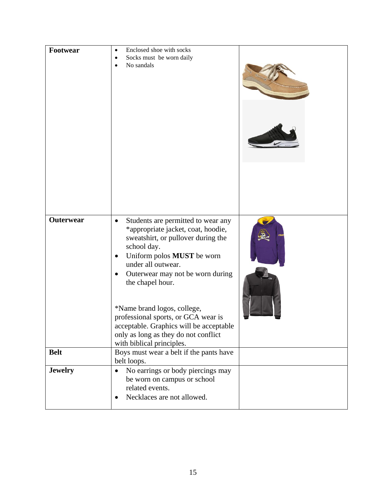| Footwear         | Enclosed shoe with socks<br>$\bullet$<br>Socks must be worn daily<br>$\bullet$<br>No sandals<br>٠                                                                                                                                                                                                                                                                                                                                                 |  |
|------------------|---------------------------------------------------------------------------------------------------------------------------------------------------------------------------------------------------------------------------------------------------------------------------------------------------------------------------------------------------------------------------------------------------------------------------------------------------|--|
| <b>Outerwear</b> | Students are permitted to wear any<br>$\bullet$<br>*appropriate jacket, coat, hoodie,<br>sweatshirt, or pullover during the<br>school day.<br>Uniform polos MUST be worn<br>٠<br>under all outwear.<br>Outerwear may not be worn during<br>the chapel hour.<br>*Name brand logos, college,<br>professional sports, or GCA wear is<br>acceptable. Graphics will be acceptable<br>only as long as they do not conflict<br>with biblical principles. |  |
| <b>Belt</b>      | Boys must wear a belt if the pants have<br>belt loops.                                                                                                                                                                                                                                                                                                                                                                                            |  |
| <b>Jewelry</b>   | No earrings or body piercings may<br>$\bullet$<br>be worn on campus or school<br>related events.<br>Necklaces are not allowed.<br>$\bullet$                                                                                                                                                                                                                                                                                                       |  |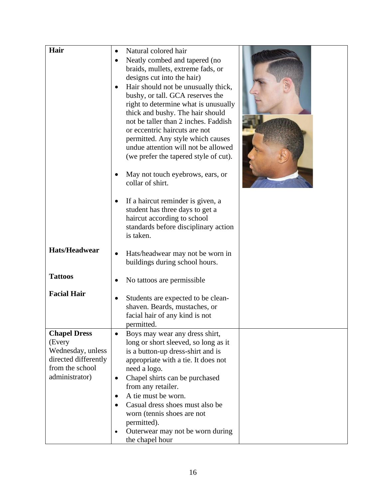| Hair                 | Natural colored hair<br>$\bullet$<br>Neatly combed and tapered (no<br>$\bullet$<br>braids, mullets, extreme fads, or<br>designs cut into the hair)<br>Hair should not be unusually thick,<br>$\bullet$<br>bushy, or tall. GCA reserves the<br>right to determine what is unusually<br>thick and bushy. The hair should<br>not be taller than 2 inches. Faddish<br>or eccentric haircuts are not<br>permitted. Any style which causes<br>undue attention will not be allowed<br>(we prefer the tapered style of cut).<br>May not touch eyebrows, ears, or<br>collar of shirt.<br>If a haircut reminder is given, a<br>$\bullet$<br>student has three days to get a<br>haircut according to school |  |
|----------------------|--------------------------------------------------------------------------------------------------------------------------------------------------------------------------------------------------------------------------------------------------------------------------------------------------------------------------------------------------------------------------------------------------------------------------------------------------------------------------------------------------------------------------------------------------------------------------------------------------------------------------------------------------------------------------------------------------|--|
|                      | standards before disciplinary action<br>is taken.                                                                                                                                                                                                                                                                                                                                                                                                                                                                                                                                                                                                                                                |  |
| <b>Hats/Headwear</b> | Hats/headwear may not be worn in<br>$\bullet$<br>buildings during school hours.                                                                                                                                                                                                                                                                                                                                                                                                                                                                                                                                                                                                                  |  |
| <b>Tattoos</b>       | No tattoos are permissible.                                                                                                                                                                                                                                                                                                                                                                                                                                                                                                                                                                                                                                                                      |  |
| <b>Facial Hair</b>   | Students are expected to be clean-<br>$\bullet$<br>shaven. Beards, mustaches, or<br>facial hair of any kind is not<br>permitted.                                                                                                                                                                                                                                                                                                                                                                                                                                                                                                                                                                 |  |
| <b>Chapel Dress</b>  | Boys may wear any dress shirt,<br>٠                                                                                                                                                                                                                                                                                                                                                                                                                                                                                                                                                                                                                                                              |  |
| (Every               | long or short sleeved, so long as it                                                                                                                                                                                                                                                                                                                                                                                                                                                                                                                                                                                                                                                             |  |
| Wednesday, unless    | is a button-up dress-shirt and is                                                                                                                                                                                                                                                                                                                                                                                                                                                                                                                                                                                                                                                                |  |
| directed differently | appropriate with a tie. It does not                                                                                                                                                                                                                                                                                                                                                                                                                                                                                                                                                                                                                                                              |  |
| from the school      | need a logo.                                                                                                                                                                                                                                                                                                                                                                                                                                                                                                                                                                                                                                                                                     |  |
| administrator)       | Chapel shirts can be purchased<br>$\bullet$                                                                                                                                                                                                                                                                                                                                                                                                                                                                                                                                                                                                                                                      |  |
|                      | from any retailer.                                                                                                                                                                                                                                                                                                                                                                                                                                                                                                                                                                                                                                                                               |  |
|                      | A tie must be worn.<br>$\bullet$                                                                                                                                                                                                                                                                                                                                                                                                                                                                                                                                                                                                                                                                 |  |
|                      | Casual dress shoes must also be<br>$\bullet$                                                                                                                                                                                                                                                                                                                                                                                                                                                                                                                                                                                                                                                     |  |
|                      | worn (tennis shoes are not                                                                                                                                                                                                                                                                                                                                                                                                                                                                                                                                                                                                                                                                       |  |
|                      | permitted).                                                                                                                                                                                                                                                                                                                                                                                                                                                                                                                                                                                                                                                                                      |  |
|                      | Outerwear may not be worn during<br>$\bullet$                                                                                                                                                                                                                                                                                                                                                                                                                                                                                                                                                                                                                                                    |  |
|                      | the chapel hour                                                                                                                                                                                                                                                                                                                                                                                                                                                                                                                                                                                                                                                                                  |  |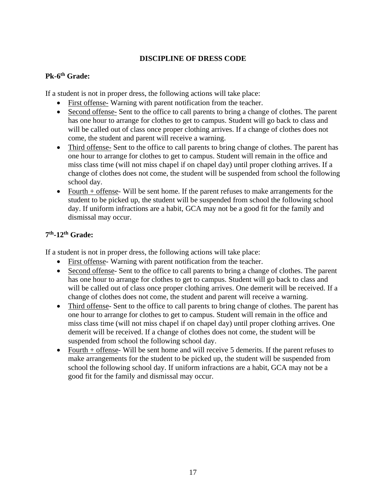#### **DISCIPLINE OF DRESS CODE**

#### **Pk-6 th Grade:**

If a student is not in proper dress, the following actions will take place:

- First offense- Warning with parent notification from the teacher.
- Second offense- Sent to the office to call parents to bring a change of clothes. The parent has one hour to arrange for clothes to get to campus. Student will go back to class and will be called out of class once proper clothing arrives. If a change of clothes does not come, the student and parent will receive a warning.
- Third offense- Sent to the office to call parents to bring change of clothes. The parent has one hour to arrange for clothes to get to campus. Student will remain in the office and miss class time (will not miss chapel if on chapel day) until proper clothing arrives. If a change of clothes does not come, the student will be suspended from school the following school day.
- Fourth + offense- Will be sent home. If the parent refuses to make arrangements for the student to be picked up, the student will be suspended from school the following school day. If uniform infractions are a habit, GCA may not be a good fit for the family and dismissal may occur.

#### **7 th -12th Grade:**

If a student is not in proper dress, the following actions will take place:

- First offense-Warning with parent notification from the teacher.
- Second offense- Sent to the office to call parents to bring a change of clothes. The parent has one hour to arrange for clothes to get to campus. Student will go back to class and will be called out of class once proper clothing arrives. One demerit will be received. If a change of clothes does not come, the student and parent will receive a warning.
- Third offense- Sent to the office to call parents to bring change of clothes. The parent has one hour to arrange for clothes to get to campus. Student will remain in the office and miss class time (will not miss chapel if on chapel day) until proper clothing arrives. One demerit will be received. If a change of clothes does not come, the student will be suspended from school the following school day.
- Fourth + offense- Will be sent home and will receive 5 demerits. If the parent refuses to make arrangements for the student to be picked up, the student will be suspended from school the following school day. If uniform infractions are a habit, GCA may not be a good fit for the family and dismissal may occur.